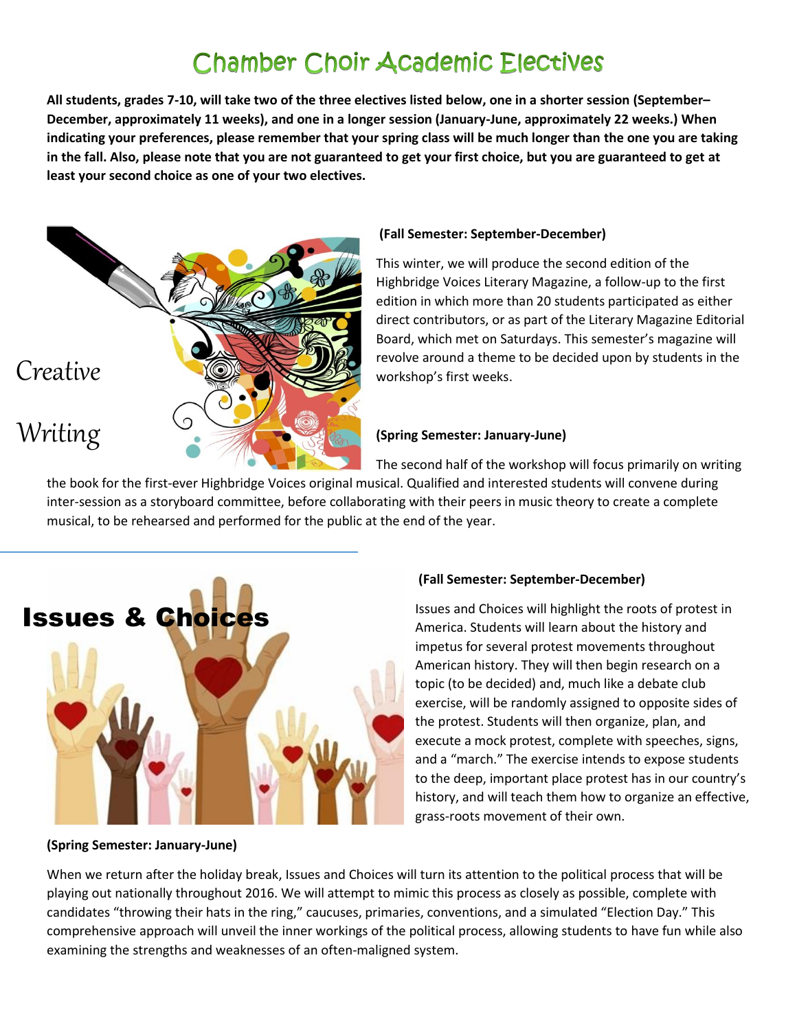# **Chamber Choir Academic Electives**

**All students, grades 7-10, will take two of the three electives listed below, one in a shorter session (September– December, approximately 11 weeks), and one in a longer session (January-June, approximately 22 weeks.) When indicating your preferences, please remember that your spring class will be much longer than the one you are taking in the fall. Also, please note that you are not guaranteed to get your first choice, but you are guaranteed to get at least your second choice as one of your two electives.** 



### **(Fall Semester: September-December)**

This winter, we will produce the second edition of the Highbridge Voices Literary Magazine, a follow-up to the first edition in which more than 20 students participated as either direct contributors, or as part of the Literary Magazine Editorial Board, which met on Saturdays. This semester's magazine will revolve around a theme to be decided upon by students in the workshop's first weeks.

### **(Spring Semester: January-June)**

The second half of the workshop will focus primarily on writing the book for the first-ever Highbridge Voices original musical. Qualified and interested students will convene during inter-session as a storyboard committee, before collaborating with their peers in music theory to create a complete musical, to be rehearsed and performed for the public at the end of the year.



#### **(Spring Semester: January-June)**

#### **(Fall Semester: September-December)**

Issues and Choices will highlight the roots of protest in America. Students will learn about the history and impetus for several protest movements throughout American history. They will then begin research on a topic (to be decided) and, much like a debate club exercise, will be randomly assigned to opposite sides of the protest. Students will then organize, plan, and execute a mock protest, complete with speeches, signs, and a "march." The exercise intends to expose students to the deep, important place protest has in our country's history, and will teach them how to organize an effective, grass-roots movement of their own.

When we return after the holiday break, Issues and Choices will turn its attention to the political process that will be playing out nationally throughout 2016. We will attempt to mimic this process as closely as possible, complete with candidates "throwing their hats in the ring," caucuses, primaries, conventions, and a simulated "Election Day." This comprehensive approach will unveil the inner workings of the political process, allowing students to have fun while also examining the strengths and weaknesses of an often-maligned system.